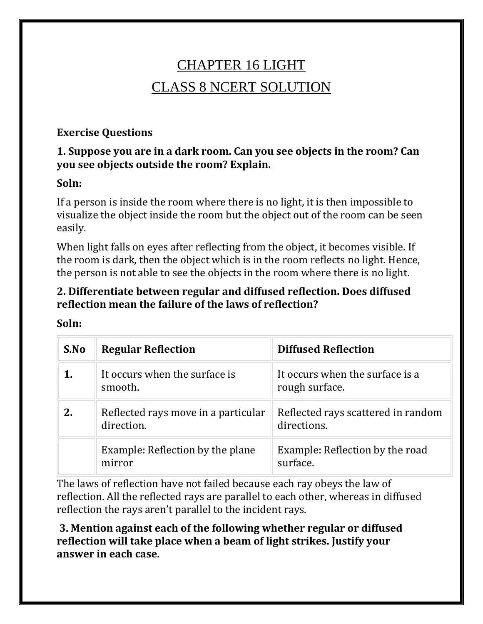# CHAPTER 16 LIGHT CLASS 8 NCERT SOLUTION

### **Exercise Questions**

### **1. Suppose you are in a dark room. Can you see objects in the room? Can you see objects outside the room? Explain.**

#### **Soln:**

If a person is inside the room where there is no light, it is then impossible to visualize the object inside the room but the object out of the room can be seen easily.

When light falls on eyes after reflecting from the object, it becomes visible. If the room is dark, then the object which is in the room reflects no light. Hence, the person is not able to see the objects in the room where there is no light.

### **2. Differentiate between regular and diffused reflection. Does diffused reflection mean the failure of the laws of reflection?**

| S.No | <b>Regular Reflection</b>                         | <b>Diffused Reflection</b>                        |
|------|---------------------------------------------------|---------------------------------------------------|
|      | It occurs when the surface is<br>smooth.          | It occurs when the surface is a<br>rough surface. |
| 2.   | Reflected rays move in a particular<br>direction. | Reflected rays scattered in random<br>directions. |
|      | Example: Reflection by the plane<br>mirror        | Example: Reflection by the road<br>surface.       |

**Soln:**

The laws of reflection have not failed because each ray obeys the law of reflection. All the reflected rays are parallel to each other, whereas in diffused reflection the rays aren't parallel to the incident rays.

**3. Mention against each of the following whether regular or diffused reflection will take place when a beam of light strikes. Justify your answer in each case.**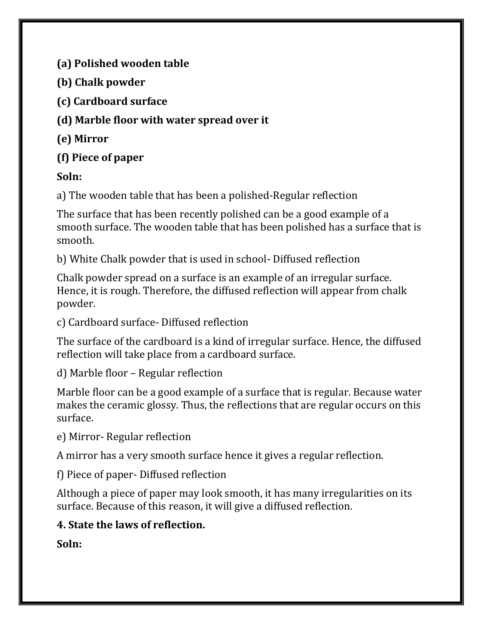**(a) Polished wooden table**

**(b) Chalk powder**

**(c) Cardboard surface**

**(d) Marble floor with water spread over it**

**(e) Mirror**

**(f) Piece of paper**

# **Soln:**

a) The wooden table that has been a polished-Regular reflection

The surface that has been recently polished can be a good example of a smooth surface. The wooden table that has been polished has a surface that is smooth.

b) White Chalk powder that is used in school- Diffused reflection

Chalk powder spread on a surface is an example of an irregular surface. Hence, it is rough. Therefore, the diffused reflection will appear from chalk powder.

c) Cardboard surface- Diffused reflection

The surface of the cardboard is a kind of irregular surface. Hence, the diffused reflection will take place from a cardboard surface.

d) Marble floor – Regular reflection

Marble floor can be a good example of a surface that is regular. Because water makes the ceramic glossy. Thus, the reflections that are regular occurs on this surface.

e) Mirror- Regular reflection

A mirror has a very smooth surface hence it gives a regular reflection.

f) Piece of paper- Diffused reflection

Although a piece of paper may look smooth, it has many irregularities on its surface. Because of this reason, it will give a diffused reflection.

# **4. State the laws of reflection.**

**Soln:**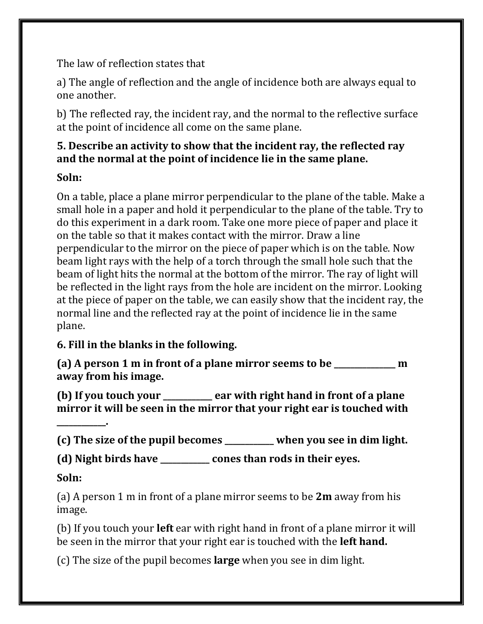The law of reflection states that

a) The angle of reflection and the angle of incidence both are always equal to one another.

b) The reflected ray, the incident ray, and the normal to the reflective surface at the point of incidence all come on the same plane.

### **5. Describe an activity to show that the incident ray, the reflected ray and the normal at the point of incidence lie in the same plane.**

# **Soln:**

On a table, place a plane mirror perpendicular to the plane of the table. Make a small hole in a paper and hold it perpendicular to the plane of the table. Try to do this experiment in a dark room. Take one more piece of paper and place it on the table so that it makes contact with the mirror. Draw a line perpendicular to the mirror on the piece of paper which is on the table. Now beam light rays with the help of a torch through the small hole such that the beam of light hits the normal at the bottom of the mirror. The ray of light will be reflected in the light rays from the hole are incident on the mirror. Looking at the piece of paper on the table, we can easily show that the incident ray, the normal line and the reflected ray at the point of incidence lie in the same plane.

# **6. Fill in the blanks in the following.**

**(a) A person 1 m in front of a plane mirror seems to be \_\_\_\_\_\_\_\_\_\_\_\_\_\_\_ m away from his image.**

**(b) If you touch your \_\_\_\_\_\_\_\_\_\_\_\_ ear with right hand in front of a plane mirror it will be seen in the mirror that your right ear is touched with** 

**(c) The size of the pupil becomes \_\_\_\_\_\_\_\_\_\_\_\_ when you see in dim light.**

**(d) Night birds have \_\_\_\_\_\_\_\_\_\_\_\_ cones than rods in their eyes.**

# **Soln:**

**\_\_\_\_\_\_\_\_\_\_\_\_.**

(a) A person 1 m in front of a plane mirror seems to be **2m** away from his image.

(b) If you touch your **left** ear with right hand in front of a plane mirror it will be seen in the mirror that your right ear is touched with the **left hand.**

(c) The size of the pupil becomes **large** when you see in dim light.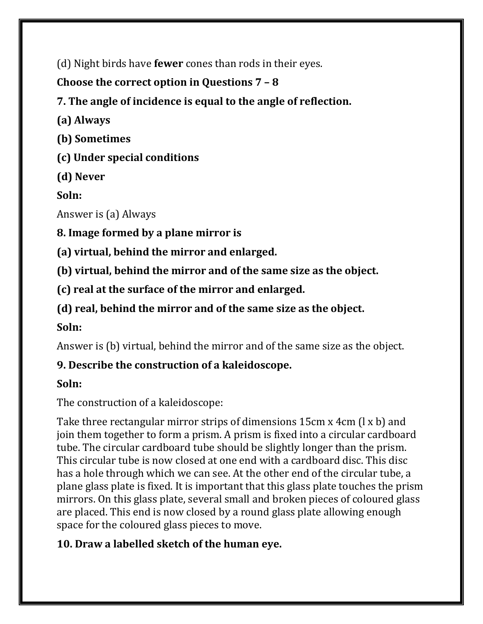(d) Night birds have **fewer** cones than rods in their eyes.

**Choose the correct option in Questions 7 – 8**

**7. The angle of incidence is equal to the angle of reflection.**

**(a) Always**

**(b) Sometimes**

**(c) Under special conditions**

**(d) Never**

**Soln:**

Answer is (a) Always

**8. Image formed by a plane mirror is**

**(a) virtual, behind the mirror and enlarged.**

**(b) virtual, behind the mirror and of the same size as the object.**

**(c) real at the surface of the mirror and enlarged.**

**(d) real, behind the mirror and of the same size as the object.**

**Soln:**

Answer is (b) virtual, behind the mirror and of the same size as the object.

# **9. Describe the construction of a kaleidoscope.**

# **Soln:**

The construction of a kaleidoscope:

Take three rectangular mirror strips of dimensions 15cm x 4cm (l x b) and join them together to form a prism. A prism is fixed into a circular cardboard tube. The circular cardboard tube should be slightly longer than the prism. This circular tube is now closed at one end with a cardboard disc. This disc has a hole through which we can see. At the other end of the circular tube, a plane glass plate is fixed. It is important that this glass plate touches the prism mirrors. On this glass plate, several small and broken pieces of coloured glass are placed. This end is now closed by a round glass plate allowing enough space for the coloured glass pieces to move.

# **10. Draw a labelled sketch of the human eye.**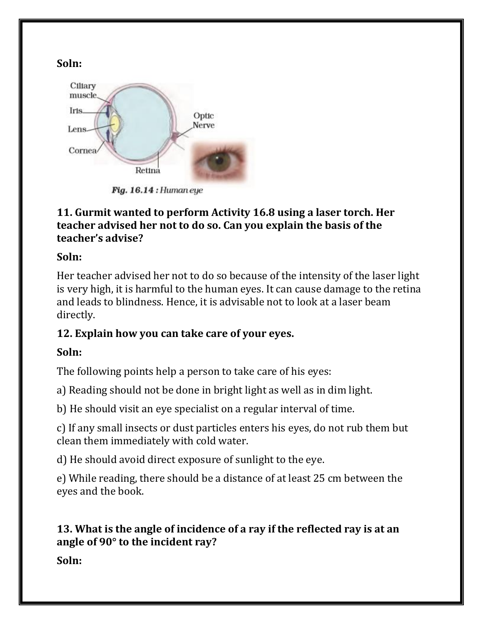

Fig.  $16.14:$  Human eye

#### **11. Gurmit wanted to perform Activity 16.8 using a laser torch. Her teacher advised her not to do so. Can you explain the basis of the teacher's advise?**

### **Soln:**

Her teacher advised her not to do so because of the intensity of the laser light is very high, it is harmful to the human eyes. It can cause damage to the retina and leads to blindness. Hence, it is advisable not to look at a laser beam directly.

# **12. Explain how you can take care of your eyes.**

# **Soln:**

The following points help a person to take care of his eyes:

a) Reading should not be done in bright light as well as in dim light.

b) He should visit an eye specialist on a regular interval of time.

c) If any small insects or dust particles enters his eyes, do not rub them but clean them immediately with cold water.

d) He should avoid direct exposure of sunlight to the eye.

e) While reading, there should be a distance of at least 25 cm between the eyes and the book.

# **13. What is the angle of incidence of a ray if the reflected ray is at an angle of 90° to the incident ray?**

**Soln:**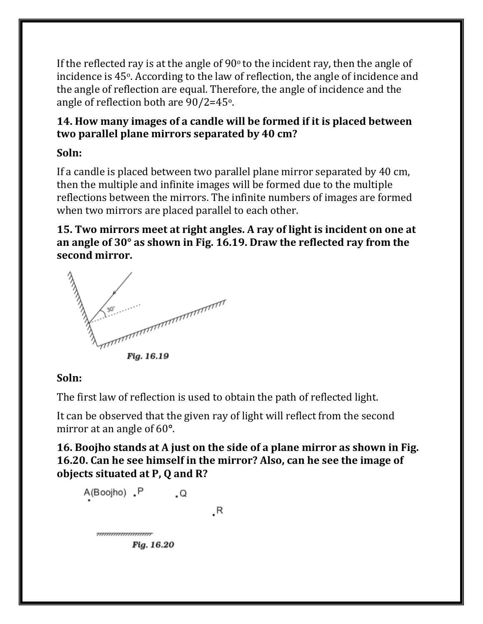If the reflected ray is at the angle of  $90^{\circ}$  to the incident ray, then the angle of incidence is 45o. According to the law of reflection, the angle of incidence and the angle of reflection are equal. Therefore, the angle of incidence and the angle of reflection both are 90/2=45o.

### **14. How many images of a candle will be formed if it is placed between two parallel plane mirrors separated by 40 cm?**

# **Soln:**

If a candle is placed between two parallel plane mirror separated by 40 cm, then the multiple and infinite images will be formed due to the multiple reflections between the mirrors. The infinite numbers of images are formed when two mirrors are placed parallel to each other.

**15. Two mirrors meet at right angles. A ray of light is incident on one at an angle of 30° as shown in Fig. 16.19. Draw the reflected ray from the second mirror.**



### **Soln:**

The first law of reflection is used to obtain the path of reflected light.

It can be observed that the given ray of light will reflect from the second mirror at an angle of 60**°**.

**16. Boojho stands at A just on the side of a plane mirror as shown in Fig. 16.20. Can he see himself in the mirror? Also, can he see the image of objects situated at P, Q and R?**

```
A(Boojho) .P
                      . Q
                                .R
<del>mmmmmmmmr</del>
          Fig. 16.20
```